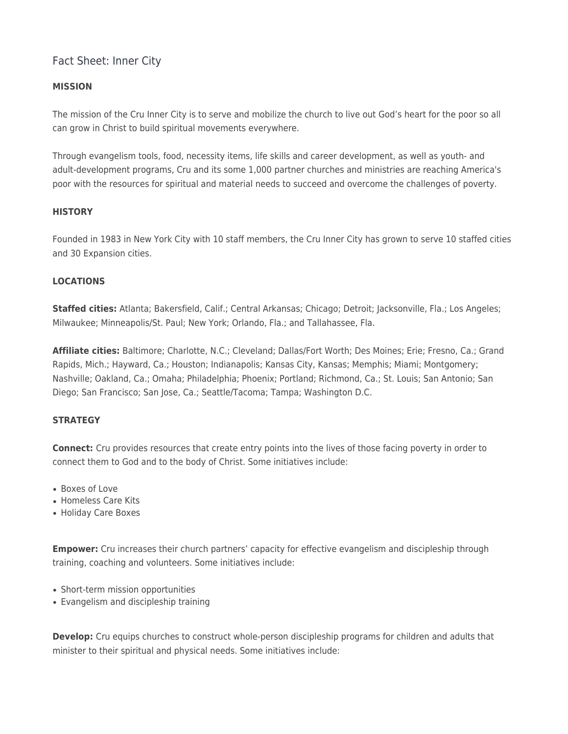# Fact Sheet: Inner City

## **MISSION**

The mission of the Cru Inner City is to serve and mobilize the church to live out God's heart for the poor so all can grow in Christ to build spiritual movements everywhere.

Through evangelism tools, food, necessity items, life skills and career development, as well as youth- and adult-development programs, Cru and its some 1,000 partner churches and ministries are reaching America's poor with the resources for spiritual and material needs to succeed and overcome the challenges of poverty.

### **HISTORY**

Founded in 1983 in New York City with 10 staff members, the Cru Inner City has grown to serve 10 staffed cities and 30 Expansion cities.

### **LOCATIONS**

**Staffed cities:** Atlanta; Bakersfield, Calif.; Central Arkansas; Chicago; Detroit; Jacksonville, Fla.; Los Angeles; Milwaukee; Minneapolis/St. Paul; New York; Orlando, Fla.; and Tallahassee, Fla.

**Affiliate cities:** Baltimore; Charlotte, N.C.; Cleveland; Dallas/Fort Worth; Des Moines; Erie; Fresno, Ca.; Grand Rapids, Mich.; Hayward, Ca.; Houston; Indianapolis; Kansas City, Kansas; Memphis; Miami; Montgomery; Nashville; Oakland, Ca.; Omaha; Philadelphia; Phoenix; Portland; Richmond, Ca.; St. Louis; San Antonio; San Diego; San Francisco; San Jose, Ca.; Seattle/Tacoma; Tampa; Washington D.C.

#### **STRATEGY**

**Connect:** Cru provides resources that create entry points into the lives of those facing poverty in order to connect them to God and to the body of Christ. Some initiatives include:

- Boxes of Love
- Homeless Care Kits
- Holiday Care Boxes

**Empower:** Cru increases their church partners' capacity for effective evangelism and discipleship through training, coaching and volunteers. Some initiatives include:

- Short-term mission opportunities
- Evangelism and discipleship training

**Develop:** Cru equips churches to construct whole-person discipleship programs for children and adults that minister to their spiritual and physical needs. Some initiatives include: